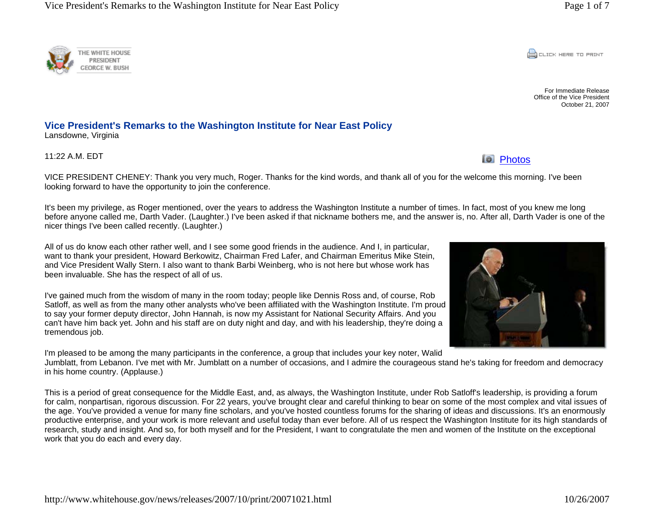**CONCRETE PRINT** 

For Immediate Release Office of the Vice President October 21, 2007

## **Vice President's Remarks to the Washington Institute for Near East Policy**

Lansdowne, Virginia

## 11:22 A.M. EDT

VICE PRESIDENT CHENEY: Thank you very much, Roger. Thanks for the kind words, and thank all of you for the welcome this morning. I've been looking forward to have the opportunity to join the conference.

It's been my privilege, as Roger mentioned, over the years to address the Washington Institute a number of times. In fact, most of you knew me long before anyone called me, Darth Vader. (Laughter.) I've been asked if that nickname bothers me, and the answer is, no. After all, Darth Vader is one of the nicer things I've been called recently. (Laughter.)

All of us do know each other rather well, and I see some good friends in the audience. And I, in particular, want to thank your president, Howard Berkowitz, Chairman Fred Lafer, and Chairman Emeritus Mike Stein, and Vice President Wally Stern. I also want to thank Barbi Weinberg, who is not here but whose work has been invaluable. She has the respect of all of us.

I've gained much from the wisdom of many in the room today; people like Dennis Ross and, of course, Rob Satloff, as well as from the many other analysts who've been affiliated with the Washington Institute. I'm proud to say your former deputy director, John Hannah, is now my Assistant for National Security Affairs. And you can't have him back yet. John and his staff are on duty night and day, and with his leadership, they're doing a tremendous job.

I'm pleased to be among the many participants in the conference, a group that includes your key noter, Walid

Jumblatt, from Lebanon. I've met with Mr. Jumblatt on a number of occasions, and I admire the courageous stand he's taking for freedom and democracy in his home country. (Applause.)

This is a period of great consequence for the Middle East, and, as always, the Washington Institute, under Rob Satloff's leadership, is providing a forum for calm, nonpartisan, rigorous discussion. For 22 years, you've brought clear and careful thinking to bear on some of the most complex and vital issues of the age. You've provided a venue for many fine scholars, and you've hosted countless forums for the sharing of ideas and discussions. It's an enormously productive enterprise, and your work is more relevant and useful today than ever before. All of us respect the Washington Institute for its high standards of research, study and insight. And so, for both myself and for the President, I want to congratulate the men and women of the Institute on the exceptional work that you do each and every day.





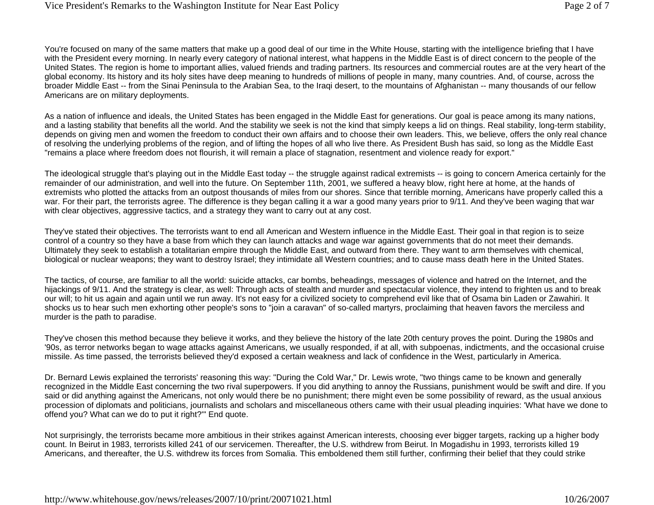You're focused on many of the same matters that make up a good deal of our time in the White House, starting with the intelligence briefing that I have with the President every morning. In nearly every category of national interest, what happens in the Middle East is of direct concern to the people of the United States. The region is home to important allies, valued friends and trading partners. Its resources and commercial routes are at the very heart of the global economy. Its history and its holy sites have deep meaning to hundreds of millions of people in many, many countries. And, of course, across the broader Middle East -- from the Sinai Peninsula to the Arabian Sea, to the Iraqi desert, to the mountains of Afghanistan -- many thousands of our fellow Americans are on military deployments.

As a nation of influence and ideals, the United States has been engaged in the Middle East for generations. Our goal is peace among its many nations, and a lasting stability that benefits all the world. And the stability we seek is not the kind that simply keeps a lid on things. Real stability, long-term stability, depends on giving men and women the freedom to conduct their own affairs and to choose their own leaders. This, we believe, offers the only real chance of resolving the underlying problems of the region, and of lifting the hopes of all who live there. As President Bush has said, so long as the Middle East "remains a place where freedom does not flourish, it will remain a place of stagnation, resentment and violence ready for export."

The ideological struggle that's playing out in the Middle East today -- the struggle against radical extremists -- is going to concern America certainly for the remainder of our administration, and well into the future. On September 11th, 2001, we suffered a heavy blow, right here at home, at the hands of extremists who plotted the attacks from an outpost thousands of miles from our shores. Since that terrible morning, Americans have properly called this a war. For their part, the terrorists agree. The difference is they began calling it a war a good many years prior to 9/11. And they've been waging that war with clear objectives, aggressive tactics, and a strategy they want to carry out at any cost.

They've stated their objectives. The terrorists want to end all American and Western influence in the Middle East. Their goal in that region is to seize control of a country so they have a base from which they can launch attacks and wage war against governments that do not meet their demands. Ultimately they seek to establish a totalitarian empire through the Middle East, and outward from there. They want to arm themselves with chemical, biological or nuclear weapons; they want to destroy Israel; they intimidate all Western countries; and to cause mass death here in the United States.

The tactics, of course, are familiar to all the world: suicide attacks, car bombs, beheadings, messages of violence and hatred on the Internet, and the hijackings of 9/11. And the strategy is clear, as well: Through acts of stealth and murder and spectacular violence, they intend to frighten us and to break our will; to hit us again and again until we run away. It's not easy for a civilized society to comprehend evil like that of Osama bin Laden or Zawahiri. It shocks us to hear such men exhorting other people's sons to "join a caravan" of so-called martyrs, proclaiming that heaven favors the merciless and murder is the path to paradise.

They've chosen this method because they believe it works, and they believe the history of the late 20th century proves the point. During the 1980s and '90s, as terror networks began to wage attacks against Americans, we usually responded, if at all, with subpoenas, indictments, and the occasional cruise missile. As time passed, the terrorists believed they'd exposed a certain weakness and lack of confidence in the West, particularly in America.

Dr. Bernard Lewis explained the terrorists' reasoning this way: "During the Cold War," Dr. Lewis wrote, "two things came to be known and generally recognized in the Middle East concerning the two rival superpowers. If you did anything to annoy the Russians, punishment would be swift and dire. If you said or did anything against the Americans, not only would there be no punishment; there might even be some possibility of reward, as the usual anxious procession of diplomats and politicians, journalists and scholars and miscellaneous others came with their usual pleading inquiries: 'What have we done to offend you? What can we do to put it right?'" End quote.

Not surprisingly, the terrorists became more ambitious in their strikes against American interests, choosing ever bigger targets, racking up a higher body count. In Beirut in 1983, terrorists killed 241 of our servicemen. Thereafter, the U.S. withdrew from Beirut. In Mogadishu in 1993, terrorists killed 19 Americans, and thereafter, the U.S. withdrew its forces from Somalia. This emboldened them still further, confirming their belief that they could strike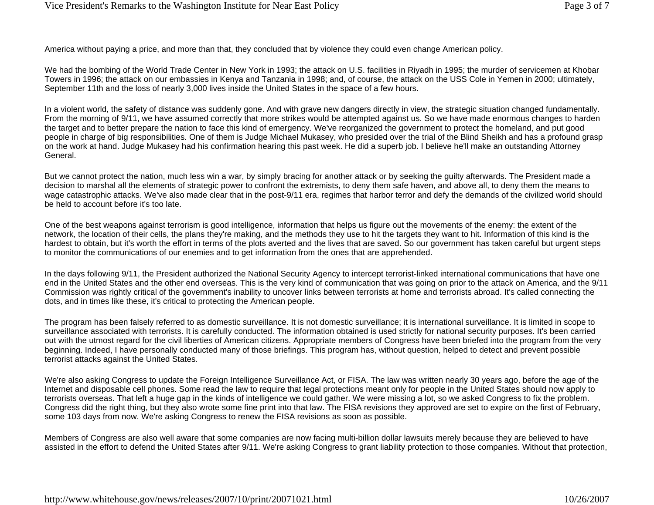America without paying a price, and more than that, they concluded that by violence they could even change American policy.

We had the bombing of the World Trade Center in New York in 1993; the attack on U.S. facilities in Riyadh in 1995; the murder of servicemen at Khobar Towers in 1996; the attack on our embassies in Kenya and Tanzania in 1998; and, of course, the attack on the USS Cole in Yemen in 2000; ultimately, September 11th and the loss of nearly 3,000 lives inside the United States in the space of a few hours.

In a violent world, the safety of distance was suddenly gone. And with grave new dangers directly in view, the strategic situation changed fundamentally. From the morning of 9/11, we have assumed correctly that more strikes would be attempted against us. So we have made enormous changes to harden the target and to better prepare the nation to face this kind of emergency. We've reorganized the government to protect the homeland, and put good people in charge of big responsibilities. One of them is Judge Michael Mukasey, who presided over the trial of the Blind Sheikh and has a profound grasp on the work at hand. Judge Mukasey had his confirmation hearing this past week. He did a superb job. I believe he'll make an outstanding Attorney General.

But we cannot protect the nation, much less win a war, by simply bracing for another attack or by seeking the guilty afterwards. The President made a decision to marshal all the elements of strategic power to confront the extremists, to deny them safe haven, and above all, to deny them the means to wage catastrophic attacks. We've also made clear that in the post-9/11 era, regimes that harbor terror and defy the demands of the civilized world should be held to account before it's too late.

One of the best weapons against terrorism is good intelligence, information that helps us figure out the movements of the enemy: the extent of the network, the location of their cells, the plans they're making, and the methods they use to hit the targets they want to hit. Information of this kind is the hardest to obtain, but it's worth the effort in terms of the plots averted and the lives that are saved. So our government has taken careful but urgent steps to monitor the communications of our enemies and to get information from the ones that are apprehended.

In the days following 9/11, the President authorized the National Security Agency to intercept terrorist-linked international communications that have one end in the United States and the other end overseas. This is the very kind of communication that was going on prior to the attack on America, and the 9/11 Commission was rightly critical of the government's inability to uncover links between terrorists at home and terrorists abroad. It's called connecting the dots, and in times like these, it's critical to protecting the American people.

The program has been falsely referred to as domestic surveillance. It is not domestic surveillance; it is international surveillance. It is limited in scope to surveillance associated with terrorists. It is carefully conducted. The information obtained is used strictly for national security purposes. It's been carried out with the utmost regard for the civil liberties of American citizens. Appropriate members of Congress have been briefed into the program from the very beginning. Indeed, I have personally conducted many of those briefings. This program has, without question, helped to detect and prevent possible terrorist attacks against the United States.

We're also asking Congress to update the Foreign Intelligence Surveillance Act, or FISA. The law was written nearly 30 years ago, before the age of the Internet and disposable cell phones. Some read the law to require that legal protections meant only for people in the United States should now apply to terrorists overseas. That left a huge gap in the kinds of intelligence we could gather. We were missing a lot, so we asked Congress to fix the problem. Congress did the right thing, but they also wrote some fine print into that law. The FISA revisions they approved are set to expire on the first of February, some 103 days from now. We're asking Congress to renew the FISA revisions as soon as possible.

Members of Congress are also well aware that some companies are now facing multi-billion dollar lawsuits merely because they are believed to have assisted in the effort to defend the United States after 9/11. We're asking Congress to grant liability protection to those companies. Without that protection,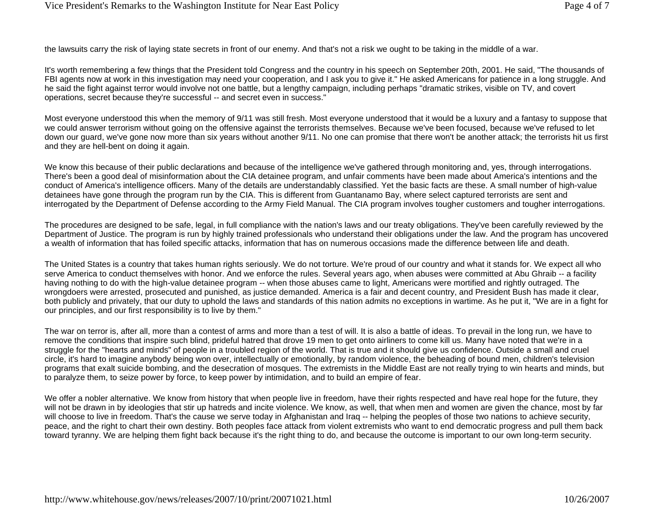the lawsuits carry the risk of laying state secrets in front of our enemy. And that's not a risk we ought to be taking in the middle of a war.

It's worth remembering a few things that the President told Congress and the country in his speech on September 20th, 2001. He said, "The thousands of FBI agents now at work in this investigation may need your cooperation, and I ask you to give it." He asked Americans for patience in a long struggle. And he said the fight against terror would involve not one battle, but a lengthy campaign, including perhaps "dramatic strikes, visible on TV, and covert operations, secret because they're successful -- and secret even in success."

Most everyone understood this when the memory of 9/11 was still fresh. Most everyone understood that it would be a luxury and a fantasy to suppose that we could answer terrorism without going on the offensive against the terrorists themselves. Because we've been focused, because we've refused to let down our guard, we've gone now more than six years without another 9/11. No one can promise that there won't be another attack; the terrorists hit us first and they are hell-bent on doing it again.

We know this because of their public declarations and because of the intelligence we've gathered through monitoring and, yes, through interrogations. There's been a good deal of misinformation about the CIA detainee program, and unfair comments have been made about America's intentions and the conduct of America's intelligence officers. Many of the details are understandably classified. Yet the basic facts are these. A small number of high-value detainees have gone through the program run by the CIA. This is different from Guantanamo Bay, where select captured terrorists are sent and interrogated by the Department of Defense according to the Army Field Manual. The CIA program involves tougher customers and tougher interrogations.

The procedures are designed to be safe, legal, in full compliance with the nation's laws and our treaty obligations. They've been carefully reviewed by the Department of Justice. The program is run by highly trained professionals who understand their obligations under the law. And the program has uncovered a wealth of information that has foiled specific attacks, information that has on numerous occasions made the difference between life and death.

The United States is a country that takes human rights seriously. We do not torture. We're proud of our country and what it stands for. We expect all who serve America to conduct themselves with honor. And we enforce the rules. Several years ago, when abuses were committed at Abu Ghraib -- a facility having nothing to do with the high-value detainee program -- when those abuses came to light, Americans were mortified and rightly outraged. The wrongdoers were arrested, prosecuted and punished, as justice demanded. America is a fair and decent country, and President Bush has made it clear, both publicly and privately, that our duty to uphold the laws and standards of this nation admits no exceptions in wartime. As he put it, "We are in a fight for our principles, and our first responsibility is to live by them."

The war on terror is, after all, more than a contest of arms and more than a test of will. It is also a battle of ideas. To prevail in the long run, we have to remove the conditions that inspire such blind, prideful hatred that drove 19 men to get onto airliners to come kill us. Many have noted that we're in a struggle for the "hearts and minds" of people in a troubled region of the world. That is true and it should give us confidence. Outside a small and cruel circle, it's hard to imagine anybody being won over, intellectually or emotionally, by random violence, the beheading of bound men, children's television programs that exalt suicide bombing, and the desecration of mosques. The extremists in the Middle East are not really trying to win hearts and minds, but to paralyze them, to seize power by force, to keep power by intimidation, and to build an empire of fear.

We offer a nobler alternative. We know from history that when people live in freedom, have their rights respected and have real hope for the future, they will not be drawn in by ideologies that stir up hatreds and incite violence. We know, as well, that when men and women are given the chance, most by far will choose to live in freedom. That's the cause we serve today in Afghanistan and Iraq -- helping the peoples of those two nations to achieve security, peace, and the right to chart their own destiny. Both peoples face attack from violent extremists who want to end democratic progress and pull them back toward tyranny. We are helping them fight back because it's the right thing to do, and because the outcome is important to our own long-term security.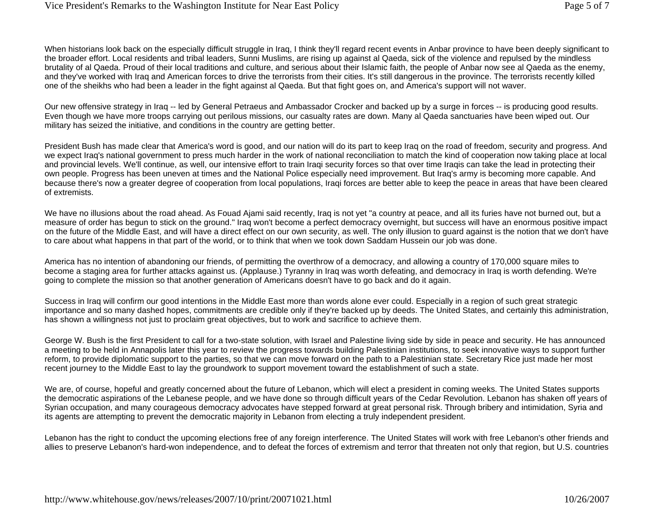When historians look back on the especially difficult struggle in Iraq, I think they'll regard recent events in Anbar province to have been deeply significant to the broader effort. Local residents and tribal leaders, Sunni Muslims, are rising up against al Qaeda, sick of the violence and repulsed by the mindless brutality of al Qaeda. Proud of their local traditions and culture, and serious about their Islamic faith, the people of Anbar now see al Qaeda as the enemy, and they've worked with Iraq and American forces to drive the terrorists from their cities. It's still dangerous in the province. The terrorists recently killed one of the sheikhs who had been a leader in the fight against al Qaeda. But that fight goes on, and America's support will not waver.

Our new offensive strategy in Iraq -- led by General Petraeus and Ambassador Crocker and backed up by a surge in forces -- is producing good results. Even though we have more troops carrying out perilous missions, our casualty rates are down. Many al Qaeda sanctuaries have been wiped out. Our military has seized the initiative, and conditions in the country are getting better.

President Bush has made clear that America's word is good, and our nation will do its part to keep Iraq on the road of freedom, security and progress. And we expect Iraq's national government to press much harder in the work of national reconciliation to match the kind of cooperation now taking place at local and provincial levels. We'll continue, as well, our intensive effort to train Iraqi security forces so that over time Iraqis can take the lead in protecting their own people. Progress has been uneven at times and the National Police especially need improvement. But Iraq's army is becoming more capable. And because there's now a greater degree of cooperation from local populations, Iraqi forces are better able to keep the peace in areas that have been cleared of extremists.

We have no illusions about the road ahead. As Fouad Ajami said recently, Iraq is not yet "a country at peace, and all its furies have not burned out, but a measure of order has begun to stick on the ground." Iraq won't become a perfect democracy overnight, but success will have an enormous positive impact on the future of the Middle East, and will have a direct effect on our own security, as well. The only illusion to guard against is the notion that we don't have to care about what happens in that part of the world, or to think that when we took down Saddam Hussein our job was done.

America has no intention of abandoning our friends, of permitting the overthrow of a democracy, and allowing a country of 170,000 square miles to become a staging area for further attacks against us. (Applause.) Tyranny in Iraq was worth defeating, and democracy in Iraq is worth defending. We're going to complete the mission so that another generation of Americans doesn't have to go back and do it again.

Success in Iraq will confirm our good intentions in the Middle East more than words alone ever could. Especially in a region of such great strategic importance and so many dashed hopes, commitments are credible only if they're backed up by deeds. The United States, and certainly this administration, has shown a willingness not just to proclaim great objectives, but to work and sacrifice to achieve them.

George W. Bush is the first President to call for a two-state solution, with Israel and Palestine living side by side in peace and security. He has announced a meeting to be held in Annapolis later this year to review the progress towards building Palestinian institutions, to seek innovative ways to support further reform, to provide diplomatic support to the parties, so that we can move forward on the path to a Palestinian state. Secretary Rice just made her most recent journey to the Middle East to lay the groundwork to support movement toward the establishment of such a state.

We are, of course, hopeful and greatly concerned about the future of Lebanon, which will elect a president in coming weeks. The United States supports the democratic aspirations of the Lebanese people, and we have done so through difficult years of the Cedar Revolution. Lebanon has shaken off years of Syrian occupation, and many courageous democracy advocates have stepped forward at great personal risk. Through bribery and intimidation, Syria and its agents are attempting to prevent the democratic majority in Lebanon from electing a truly independent president.

Lebanon has the right to conduct the upcoming elections free of any foreign interference. The United States will work with free Lebanon's other friends and allies to preserve Lebanon's hard-won independence, and to defeat the forces of extremism and terror that threaten not only that region, but U.S. countries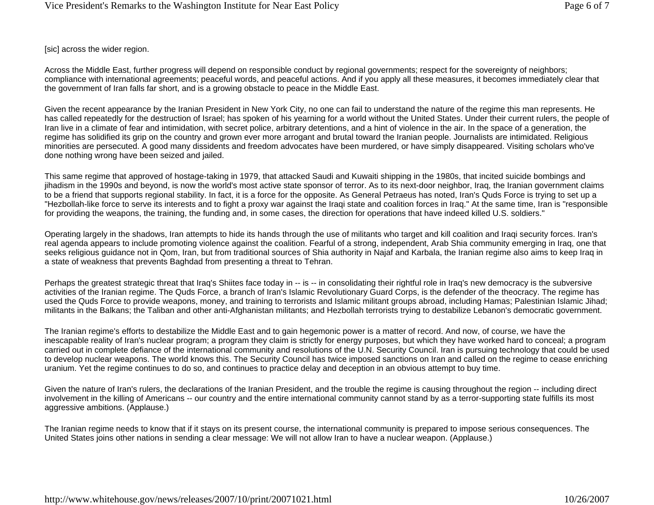[sic] across the wider region.

Across the Middle East, further progress will depend on responsible conduct by regional governments; respect for the sovereignty of neighbors; compliance with international agreements; peaceful words, and peaceful actions. And if you apply all these measures, it becomes immediately clear that the government of Iran falls far short, and is a growing obstacle to peace in the Middle East.

Given the recent appearance by the Iranian President in New York City, no one can fail to understand the nature of the regime this man represents. He has called repeatedly for the destruction of Israel; has spoken of his yearning for a world without the United States. Under their current rulers, the people of Iran live in a climate of fear and intimidation, with secret police, arbitrary detentions, and a hint of violence in the air. In the space of a generation, the regime has solidified its grip on the country and grown ever more arrogant and brutal toward the Iranian people. Journalists are intimidated. Religious minorities are persecuted. A good many dissidents and freedom advocates have been murdered, or have simply disappeared. Visiting scholars who've done nothing wrong have been seized and jailed.

This same regime that approved of hostage-taking in 1979, that attacked Saudi and Kuwaiti shipping in the 1980s, that incited suicide bombings and jihadism in the 1990s and beyond, is now the world's most active state sponsor of terror. As to its next-door neighbor, Iraq, the Iranian government claims to be a friend that supports regional stability. In fact, it is a force for the opposite. As General Petraeus has noted, Iran's Quds Force is trying to set up a "Hezbollah-like force to serve its interests and to fight a proxy war against the Iraqi state and coalition forces in Iraq." At the same time, Iran is "responsible for providing the weapons, the training, the funding and, in some cases, the direction for operations that have indeed killed U.S. soldiers."

Operating largely in the shadows, Iran attempts to hide its hands through the use of militants who target and kill coalition and Iraqi security forces. Iran's real agenda appears to include promoting violence against the coalition. Fearful of a strong, independent, Arab Shia community emerging in Iraq, one that seeks religious guidance not in Qom, Iran, but from traditional sources of Shia authority in Najaf and Karbala, the Iranian regime also aims to keep Iraq in a state of weakness that prevents Baghdad from presenting a threat to Tehran.

Perhaps the greatest strategic threat that Iraq's Shiites face today in -- is -- in consolidating their rightful role in Iraq's new democracy is the subversive activities of the Iranian regime. The Quds Force, a branch of Iran's Islamic Revolutionary Guard Corps, is the defender of the theocracy. The regime has used the Quds Force to provide weapons, money, and training to terrorists and Islamic militant groups abroad, including Hamas; Palestinian Islamic Jihad; militants in the Balkans; the Taliban and other anti-Afghanistan militants; and Hezbollah terrorists trying to destabilize Lebanon's democratic government.

The Iranian regime's efforts to destabilize the Middle East and to gain hegemonic power is a matter of record. And now, of course, we have the inescapable reality of Iran's nuclear program; a program they claim is strictly for energy purposes, but which they have worked hard to conceal; a program carried out in complete defiance of the international community and resolutions of the U.N. Security Council. Iran is pursuing technology that could be used to develop nuclear weapons. The world knows this. The Security Council has twice imposed sanctions on Iran and called on the regime to cease enriching uranium. Yet the regime continues to do so, and continues to practice delay and deception in an obvious attempt to buy time.

Given the nature of Iran's rulers, the declarations of the Iranian President, and the trouble the regime is causing throughout the region -- including direct involvement in the killing of Americans -- our country and the entire international community cannot stand by as a terror-supporting state fulfills its most aggressive ambitions. (Applause.)

The Iranian regime needs to know that if it stays on its present course, the international community is prepared to impose serious consequences. The United States joins other nations in sending a clear message: We will not allow Iran to have a nuclear weapon. (Applause.)